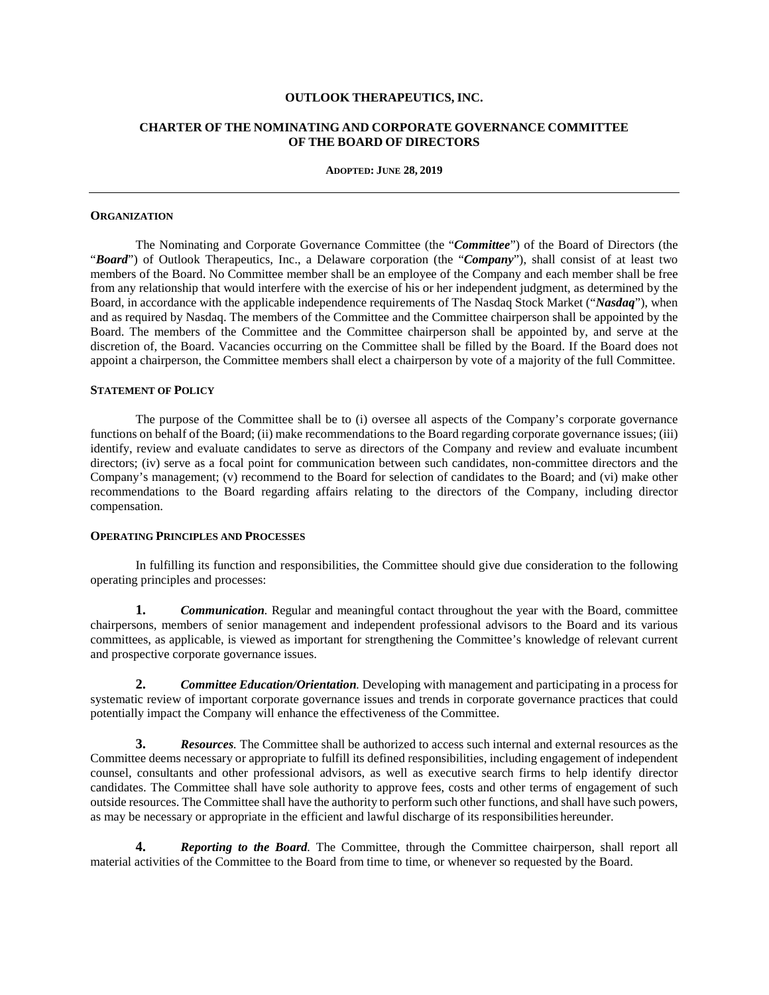#### **OUTLOOK THERAPEUTICS, INC.**

# **CHARTER OF THE NOMINATING AND CORPORATE GOVERNANCE COMMITTEE OF THE BOARD OF DIRECTORS**

#### **ADOPTED: JUNE 28, 2019**

#### **ORGANIZATION**

The Nominating and Corporate Governance Committee (the "*Committee*") of the Board of Directors (the "*Board*") of Outlook Therapeutics, Inc., a Delaware corporation (the "*Company*"), shall consist of at least two members of the Board. No Committee member shall be an employee of the Company and each member shall be free from any relationship that would interfere with the exercise of his or her independent judgment, as determined by the Board, in accordance with the applicable independence requirements of The Nasdaq Stock Market ("*Nasdaq*"), when and as required by Nasdaq. The members of the Committee and the Committee chairperson shall be appointed by the Board. The members of the Committee and the Committee chairperson shall be appointed by, and serve at the discretion of, the Board. Vacancies occurring on the Committee shall be filled by the Board. If the Board does not appoint a chairperson, the Committee members shall elect a chairperson by vote of a majority of the full Committee.

### **STATEMENT OF POLICY**

The purpose of the Committee shall be to (i) oversee all aspects of the Company's corporate governance functions on behalf of the Board; (ii) make recommendations to the Board regarding corporate governance issues; (iii) identify, review and evaluate candidates to serve as directors of the Company and review and evaluate incumbent directors; (iv) serve as a focal point for communication between such candidates, non-committee directors and the Company's management; (v) recommend to the Board for selection of candidates to the Board; and (vi) make other recommendations to the Board regarding affairs relating to the directors of the Company, including director compensation.

# **OPERATING PRINCIPLES AND PROCESSES**

In fulfilling its function and responsibilities, the Committee should give due consideration to the following operating principles and processes:

**1.** *Communication.* Regular and meaningful contact throughout the year with the Board, committee chairpersons, members of senior management and independent professional advisors to the Board and its various committees, as applicable, is viewed as important for strengthening the Committee's knowledge of relevant current and prospective corporate governance issues.

**2.** *Committee Education/Orientation.* Developing with management and participating in a process for systematic review of important corporate governance issues and trends in corporate governance practices that could potentially impact the Company will enhance the effectiveness of the Committee.

**3.** *Resources.* The Committee shall be authorized to access such internal and external resources as the Committee deems necessary or appropriate to fulfill its defined responsibilities, including engagement of independent counsel, consultants and other professional advisors, as well as executive search firms to help identify director candidates. The Committee shall have sole authority to approve fees, costs and other terms of engagement of such outside resources. The Committee shall have the authority to perform such other functions, and shall have such powers, as may be necessary or appropriate in the efficient and lawful discharge of its responsibilities hereunder.

**4.** *Reporting to the Board.* The Committee, through the Committee chairperson, shall report all material activities of the Committee to the Board from time to time, or whenever so requested by the Board.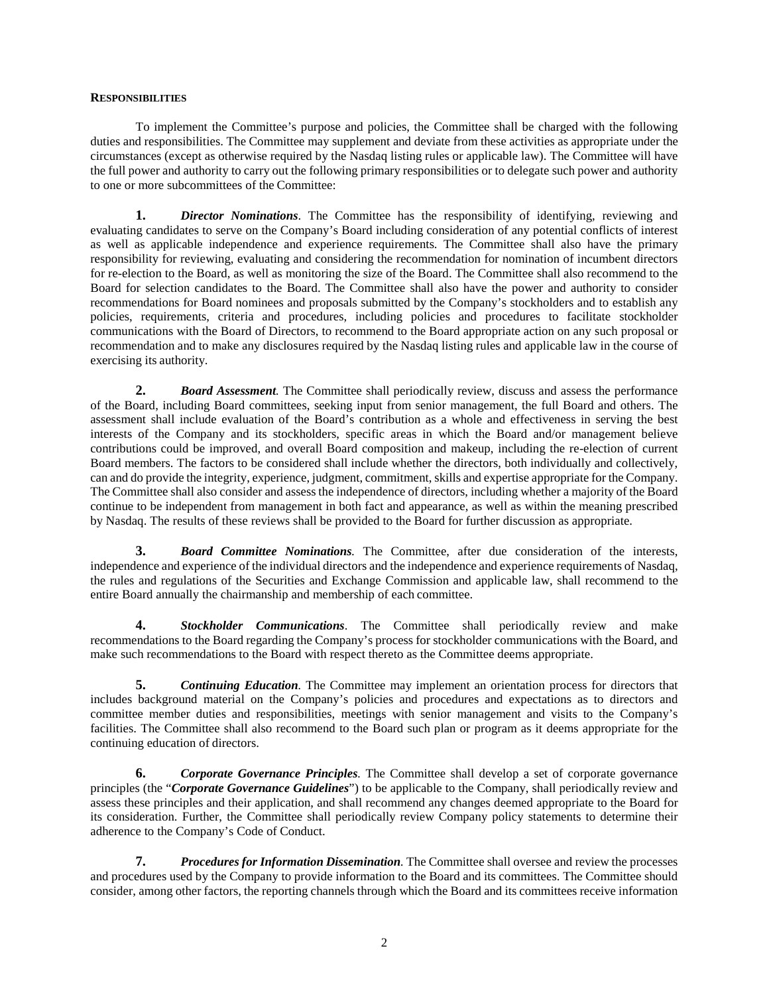## **RESPONSIBILITIES**

To implement the Committee's purpose and policies, the Committee shall be charged with the following duties and responsibilities. The Committee may supplement and deviate from these activities as appropriate under the circumstances (except as otherwise required by the Nasdaq listing rules or applicable law). The Committee will have the full power and authority to carry out the following primary responsibilities or to delegate such power and authority to one or more subcommittees of the Committee:

**1.** *Director Nominations*. The Committee has the responsibility of identifying, reviewing and evaluating candidates to serve on the Company's Board including consideration of any potential conflicts of interest as well as applicable independence and experience requirements. The Committee shall also have the primary responsibility for reviewing, evaluating and considering the recommendation for nomination of incumbent directors for re-election to the Board, as well as monitoring the size of the Board. The Committee shall also recommend to the Board for selection candidates to the Board. The Committee shall also have the power and authority to consider recommendations for Board nominees and proposals submitted by the Company's stockholders and to establish any policies, requirements, criteria and procedures, including policies and procedures to facilitate stockholder communications with the Board of Directors, to recommend to the Board appropriate action on any such proposal or recommendation and to make any disclosures required by the Nasdaq listing rules and applicable law in the course of exercising its authority.

**2.** *Board Assessment.* The Committee shall periodically review, discuss and assess the performance of the Board, including Board committees, seeking input from senior management, the full Board and others. The assessment shall include evaluation of the Board's contribution as a whole and effectiveness in serving the best interests of the Company and its stockholders, specific areas in which the Board and/or management believe contributions could be improved, and overall Board composition and makeup, including the re-election of current Board members. The factors to be considered shall include whether the directors, both individually and collectively, can and do provide the integrity, experience, judgment, commitment, skills and expertise appropriate for the Company. The Committee shall also consider and assess the independence of directors, including whether a majority of the Board continue to be independent from management in both fact and appearance, as well as within the meaning prescribed by Nasdaq. The results of these reviews shall be provided to the Board for further discussion as appropriate.

**3.** *Board Committee Nominations.* The Committee, after due consideration of the interests, independence and experience of the individual directors and the independence and experience requirements of Nasdaq, the rules and regulations of the Securities and Exchange Commission and applicable law, shall recommend to the entire Board annually the chairmanship and membership of each committee.

**4.** *Stockholder Communications*. The Committee shall periodically review and make recommendations to the Board regarding the Company's process for stockholder communications with the Board, and make such recommendations to the Board with respect thereto as the Committee deems appropriate.

**5.** *Continuing Education.* The Committee may implement an orientation process for directors that includes background material on the Company's policies and procedures and expectations as to directors and committee member duties and responsibilities, meetings with senior management and visits to the Company's facilities. The Committee shall also recommend to the Board such plan or program as it deems appropriate for the continuing education of directors.

**6.** *Corporate Governance Principles.* The Committee shall develop a set of corporate governance principles (the "*Corporate Governance Guidelines*") to be applicable to the Company, shall periodically review and assess these principles and their application, and shall recommend any changes deemed appropriate to the Board for its consideration. Further, the Committee shall periodically review Company policy statements to determine their adherence to the Company's Code of Conduct.

**7.** *Procedures for Information Dissemination.* The Committee shall oversee and review the processes and procedures used by the Company to provide information to the Board and its committees. The Committee should consider, among other factors, the reporting channels through which the Board and its committees receive information